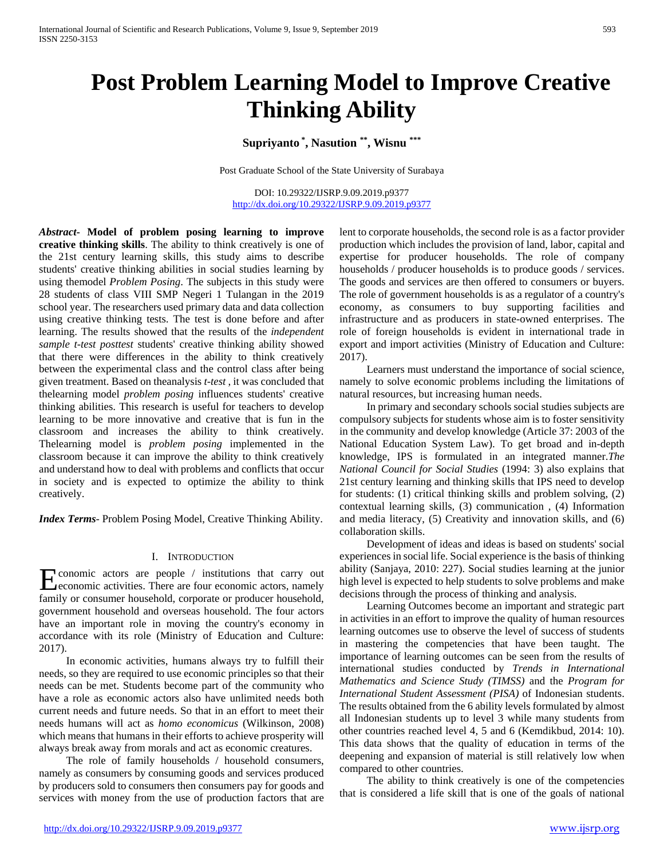# **Post Problem Learning Model to Improve Creative Thinking Ability**

**Supriyanto \* , Nasution \*\*, Wisnu \*\*\***

Post Graduate School of the State University of Surabaya

DOI: 10.29322/IJSRP.9.09.2019.p9377 <http://dx.doi.org/10.29322/IJSRP.9.09.2019.p9377>

*Abstract***- Model of problem posing learning to improve creative thinking skills**. The ability to think creatively is one of the 21st century learning skills, this study aims to describe students' creative thinking abilities in social studies learning by using themodel *Problem Posing*. The subjects in this study were 28 students of class VIII SMP Negeri 1 Tulangan in the 2019 school year. The researchers used primary data and data collection using creative thinking tests. The test is done before and after learning. The results showed that the results of the *independent sample t-test posttest* students' creative thinking ability showed that there were differences in the ability to think creatively between the experimental class and the control class after being given treatment. Based on theanalysis *t-test* , it was concluded that thelearning model *problem posing* influences students' creative thinking abilities. This research is useful for teachers to develop learning to be more innovative and creative that is fun in the classroom and increases the ability to think creatively. Thelearning model is *problem posing* implemented in the classroom because it can improve the ability to think creatively and understand how to deal with problems and conflicts that occur in society and is expected to optimize the ability to think creatively.

*Index Terms*- Problem Posing Model, Creative Thinking Ability.

#### I. INTRODUCTION

conomic actors are people / institutions that carry out **Exercise** Conomic actors are people / institutions that carry out economic activities. There are four economic actors, namely family or consumer household, corporate or producer household, government household and overseas household. The four actors have an important role in moving the country's economy in accordance with its role (Ministry of Education and Culture: 2017).

 In economic activities, humans always try to fulfill their needs, so they are required to use economic principles so that their needs can be met. Students become part of the community who have a role as economic actors also have unlimited needs both current needs and future needs. So that in an effort to meet their needs humans will act as *homo economicus* (Wilkinson, 2008) which means that humans in their efforts to achieve prosperity will always break away from morals and act as economic creatures.

 The role of family households / household consumers, namely as consumers by consuming goods and services produced by producers sold to consumers then consumers pay for goods and services with money from the use of production factors that are

lent to corporate households, the second role is as a factor provider production which includes the provision of land, labor, capital and expertise for producer households. The role of company households / producer households is to produce goods / services. The goods and services are then offered to consumers or buyers. The role of government households is as a regulator of a country's economy, as consumers to buy supporting facilities and infrastructure and as producers in state-owned enterprises. The role of foreign households is evident in international trade in export and import activities (Ministry of Education and Culture: 2017).

 Learners must understand the importance of social science, namely to solve economic problems including the limitations of natural resources, but increasing human needs.

 In primary and secondary schools social studies subjects are compulsory subjects for students whose aim is to foster sensitivity in the community and develop knowledge (Article 37: 2003 of the National Education System Law). To get broad and in-depth knowledge, IPS is formulated in an integrated manner.*The National Council for Social Studies* (1994: 3) also explains that 21st century learning and thinking skills that IPS need to develop for students: (1) critical thinking skills and problem solving, (2) contextual learning skills, (3) communication , (4) Information and media literacy, (5) Creativity and innovation skills, and (6) collaboration skills.

 Development of ideas and ideas is based on students' social experiences in social life. Social experience is the basis of thinking ability (Sanjaya, 2010: 227). Social studies learning at the junior high level is expected to help students to solve problems and make decisions through the process of thinking and analysis.

 Learning Outcomes become an important and strategic part in activities in an effort to improve the quality of human resources learning outcomes use to observe the level of success of students in mastering the competencies that have been taught. The importance of learning outcomes can be seen from the results of international studies conducted by *Trends in International Mathematics and Science Study (TIMSS)* and the *Program for International Student Assessment (PISA)* of Indonesian students. The results obtained from the 6 ability levels formulated by almost all Indonesian students up to level 3 while many students from other countries reached level 4, 5 and 6 (Kemdikbud, 2014: 10). This data shows that the quality of education in terms of the deepening and expansion of material is still relatively low when compared to other countries.

 The ability to think creatively is one of the competencies that is considered a life skill that is one of the goals of national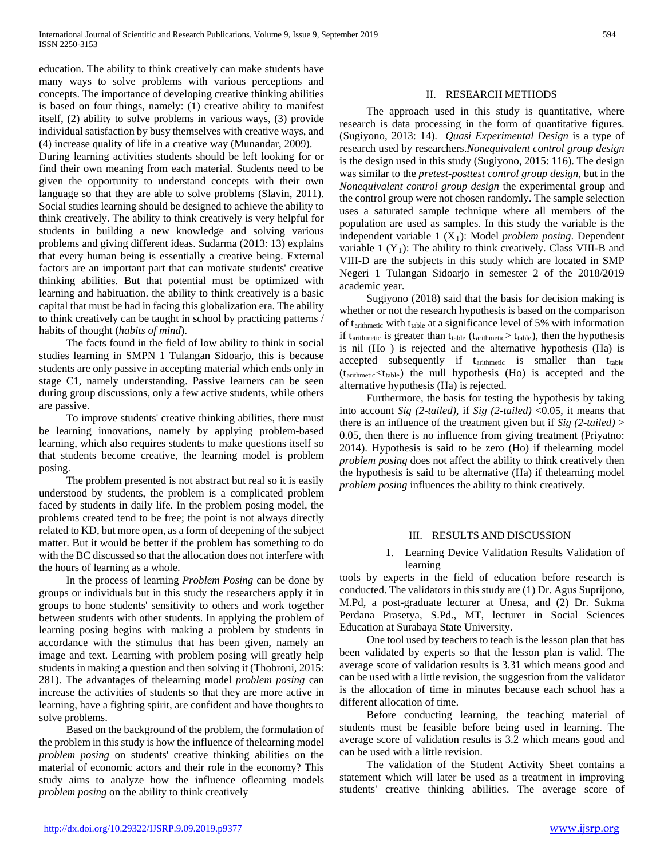education. The ability to think creatively can make students have many ways to solve problems with various perceptions and concepts. The importance of developing creative thinking abilities is based on four things, namely: (1) creative ability to manifest itself, (2) ability to solve problems in various ways, (3) provide individual satisfaction by busy themselves with creative ways, and (4) increase quality of life in a creative way (Munandar, 2009).

During learning activities students should be left looking for or find their own meaning from each material. Students need to be given the opportunity to understand concepts with their own language so that they are able to solve problems (Slavin, 2011). Social studies learning should be designed to achieve the ability to think creatively. The ability to think creatively is very helpful for students in building a new knowledge and solving various problems and giving different ideas. Sudarma (2013: 13) explains that every human being is essentially a creative being. External factors are an important part that can motivate students' creative thinking abilities. But that potential must be optimized with learning and habituation. the ability to think creatively is a basic capital that must be had in facing this globalization era. The ability to think creatively can be taught in school by practicing patterns / habits of thought (*habits of mind*).

 The facts found in the field of low ability to think in social studies learning in SMPN 1 Tulangan Sidoarjo, this is because students are only passive in accepting material which ends only in stage C1, namely understanding. Passive learners can be seen during group discussions, only a few active students, while others are passive.

 To improve students' creative thinking abilities, there must be learning innovations, namely by applying problem-based learning, which also requires students to make questions itself so that students become creative, the learning model is problem posing.

 The problem presented is not abstract but real so it is easily understood by students, the problem is a complicated problem faced by students in daily life. In the problem posing model, the problems created tend to be free; the point is not always directly related to KD, but more open, as a form of deepening of the subject matter. But it would be better if the problem has something to do with the BC discussed so that the allocation does not interfere with the hours of learning as a whole.

 In the process of learning *Problem Posing* can be done by groups or individuals but in this study the researchers apply it in groups to hone students' sensitivity to others and work together between students with other students. In applying the problem of learning posing begins with making a problem by students in accordance with the stimulus that has been given, namely an image and text. Learning with problem posing will greatly help students in making a question and then solving it (Thobroni, 2015: 281). The advantages of thelearning model *problem posing* can increase the activities of students so that they are more active in learning, have a fighting spirit, are confident and have thoughts to solve problems.

 Based on the background of the problem, the formulation of the problem in this study is how the influence of thelearning model *problem posing* on students' creative thinking abilities on the material of economic actors and their role in the economy? This study aims to analyze how the influence oflearning models *problem posing* on the ability to think creatively

## II. RESEARCH METHODS

 The approach used in this study is quantitative, where research is data processing in the form of quantitative figures. (Sugiyono, 2013: 14). *Quasi Experimental Design* is a type of research used by researchers.*Nonequivalent control group design*  is the design used in this study (Sugiyono, 2015: 116). The design was similar to the *pretest-posttest control group design*, but in the *Nonequivalent control group design* the experimental group and the control group were not chosen randomly. The sample selection uses a saturated sample technique where all members of the population are used as samples. In this study the variable is the independent variable 1 (X1): Model *problem posing*. Dependent variable 1  $(Y_1)$ : The ability to think creatively. Class VIII-B and VIII-D are the subjects in this study which are located in SMP Negeri 1 Tulangan Sidoarjo in semester 2 of the 2018/2019 academic year.

 Sugiyono (2018) said that the basis for decision making is whether or not the research hypothesis is based on the comparison of  $t_{arithmetic}$  with  $t_{table}$  at a significance level of 5% with information if  $t_{arithmetic}$  is greater than  $t_{table}$  ( $t_{arithmetic} > t_{table}$ ), then the hypothesis is nil (Ho ) is rejected and the alternative hypothesis (Ha) is accepted subsequently if  $t_{\text{arithmetic}}$  is smaller than  $t_{\text{table}}$  $(t<sub>arithmetic</sub> < t<sub>table</sub>)$  the null hypothesis (Ho) is accepted and the alternative hypothesis (Ha) is rejected.

 Furthermore, the basis for testing the hypothesis by taking into account *Sig (2-tailed)*, if *Sig (2-tailed)* <0.05, it means that there is an influence of the treatment given but if *Sig (2-tailed)* > 0.05, then there is no influence from giving treatment (Priyatno: 2014). Hypothesis is said to be zero (Ho) if thelearning model *problem posing* does not affect the ability to think creatively then the hypothesis is said to be alternative (Ha) if thelearning model *problem posing* influences the ability to think creatively.

#### III. RESULTS AND DISCUSSION

# 1. Learning Device Validation Results Validation of learning

tools by experts in the field of education before research is conducted. The validators in this study are (1) Dr. Agus Suprijono, M.Pd, a post-graduate lecturer at Unesa, and (2) Dr. Sukma Perdana Prasetya, S.Pd., MT, lecturer in Social Sciences Education at Surabaya State University.

 One tool used by teachers to teach is the lesson plan that has been validated by experts so that the lesson plan is valid. The average score of validation results is 3.31 which means good and can be used with a little revision, the suggestion from the validator is the allocation of time in minutes because each school has a different allocation of time.

 Before conducting learning, the teaching material of students must be feasible before being used in learning. The average score of validation results is 3.2 which means good and can be used with a little revision.

 The validation of the Student Activity Sheet contains a statement which will later be used as a treatment in improving students' creative thinking abilities. The average score of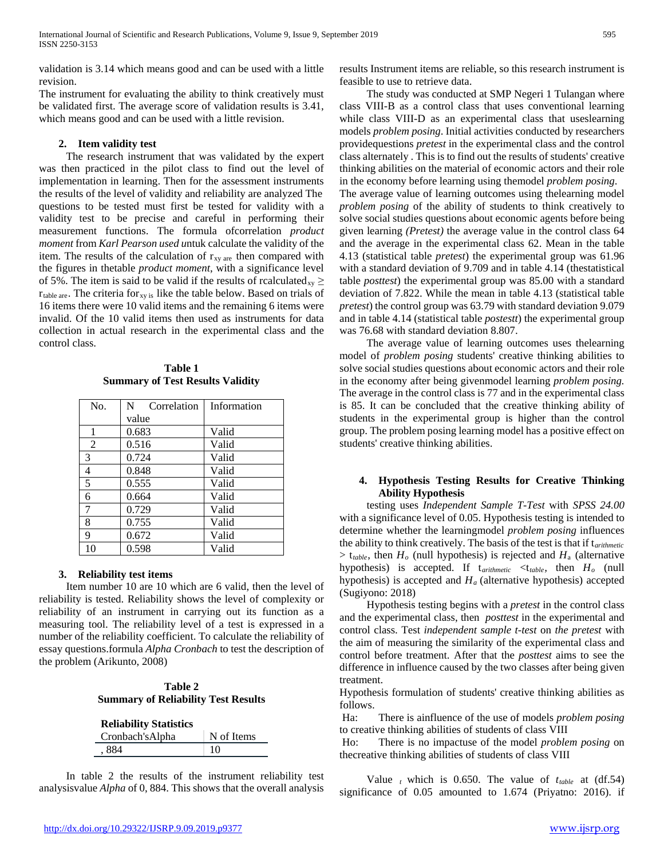validation is 3.14 which means good and can be used with a little revision.

The instrument for evaluating the ability to think creatively must be validated first. The average score of validation results is 3.41, which means good and can be used with a little revision.

### **2. Item validity test**

 The research instrument that was validated by the expert was then practiced in the pilot class to find out the level of implementation in learning. Then for the assessment instruments the results of the level of validity and reliability are analyzed The questions to be tested must first be tested for validity with a validity test to be precise and careful in performing their measurement functions. The formula ofcorrelation *product moment* from *Karl Pearson used u*ntuk calculate the validity of the item. The results of the calculation of  $r_{xy \text{ are}}$  then compared with the figures in thetable *product moment*, with a significance level of 5%. The item is said to be valid if the results of rcalculated<sub>xy</sub>  $\geq$  $r_{table are}$ . The criteria for<sub>xy is</sub> like the table below. Based on trials of 16 items there were 10 valid items and the remaining 6 items were invalid. Of the 10 valid items then used as instruments for data collection in actual research in the experimental class and the control class.

**Table 1 Summary of Test Results Validity**

| No.            | N<br>Correlation | Information |
|----------------|------------------|-------------|
|                | value            |             |
| 1              | 0.683            | Valid       |
| $\overline{2}$ | 0.516            | Valid       |
| 3              | 0.724            | Valid       |
| 4              | 0.848            | Valid       |
| 5              | 0.555            | Valid       |
| 6              | 0.664            | Valid       |
| 7              | 0.729            | Valid       |
| 8              | 0.755            | Valid       |
| 9              | 0.672            | Valid       |
| 10             | 0.598            | Valid       |

# **3. Reliability test items**

 Item number 10 are 10 which are 6 valid, then the level of reliability is tested. Reliability shows the level of complexity or reliability of an instrument in carrying out its function as a measuring tool. The reliability level of a test is expressed in a number of the reliability coefficient. To calculate the reliability of essay questions.formula *Alpha Cronbach* to test the description of the problem (Arikunto, 2008)

# **Table 2 Summary of Reliability Test Results**

| <b>Reliability Statistics</b> |            |  |
|-------------------------------|------------|--|
| Cronbach's Alpha              | N of Items |  |
| . 884                         | 10         |  |

 In table 2 the results of the instrument reliability test analysisvalue *Alpha* of 0, 884. This shows that the overall analysis results Instrument items are reliable, so this research instrument is feasible to use to retrieve data.

 The study was conducted at SMP Negeri 1 Tulangan where class VIII-B as a control class that uses conventional learning while class VIII-D as an experimental class that useslearning models *problem posing*. Initial activities conducted by researchers providequestions *pretest* in the experimental class and the control class alternately . This is to find out the results of students' creative thinking abilities on the material of economic actors and their role in the economy before learning using themodel *problem posing*. The average value of learning outcomes using thelearning model *problem posing* of the ability of students to think creatively to solve social studies questions about economic agents before being given learning *(Pretest)* the average value in the control class 64 and the average in the experimental class 62. Mean in the table 4.13 (statistical table *pretest*) the experimental group was 61.96 with a standard deviation of 9.709 and in table 4.14 (thestatistical table *posttest*) the experimental group was 85.00 with a standard deviation of 7.822. While the mean in table 4.13 (statistical table *pretest*) the control group was 63.79 with standard deviation 9.079 and in table 4.14 (statistical table *postestt*) the experimental group was 76.68 with standard deviation 8.807.

 The average value of learning outcomes uses thelearning model of *problem posing* students' creative thinking abilities to solve social studies questions about economic actors and their role in the economy after being givenmodel learning *problem posing.*  The average in the control class is 77 and in the experimental class is 85. It can be concluded that the creative thinking ability of students in the experimental group is higher than the control group. The problem posing learning model has a positive effect on students' creative thinking abilities.

# **4. Hypothesis Testing Results for Creative Thinking Ability Hypothesis**

 testing uses *Independent Sample T-Test* with *SPSS 24.00*  with a significance level of 0.05. Hypothesis testing is intended to determine whether the learningmodel *problem posing* influences the ability to think creatively. The basis of the test is that if t*arithmetic*  $> t_{table}$ , then  $H<sub>o</sub>$  (null hypothesis) is rejected and  $H<sub>a</sub>$  (alternative hypothesis) is accepted. If t*arithmetic* <t*table,* then *Ho* (null hypothesis) is accepted and  $H_a$  (alternative hypothesis) accepted (Sugiyono: 2018)

 Hypothesis testing begins with a *pretest* in the control class and the experimental class, then *posttest* in the experimental and control class. Test *independent sample t-test* on *the pretest* with the aim of measuring the similarity of the experimental class and control before treatment. After that the *posttest* aims to see the difference in influence caused by the two classes after being given treatment.

Hypothesis formulation of students' creative thinking abilities as follows.

Ha: There is ainfluence of the use of models *problem posing* to creative thinking abilities of students of class VIII

Ho: There is no impactuse of the model *problem posing* on thecreative thinking abilities of students of class VIII

Value  $<sub>t</sub>$  which is 0.650. The value of  $t_{table}$  at (df.54)</sub> significance of 0.05 amounted to 1.674 (Priyatno: 2016). if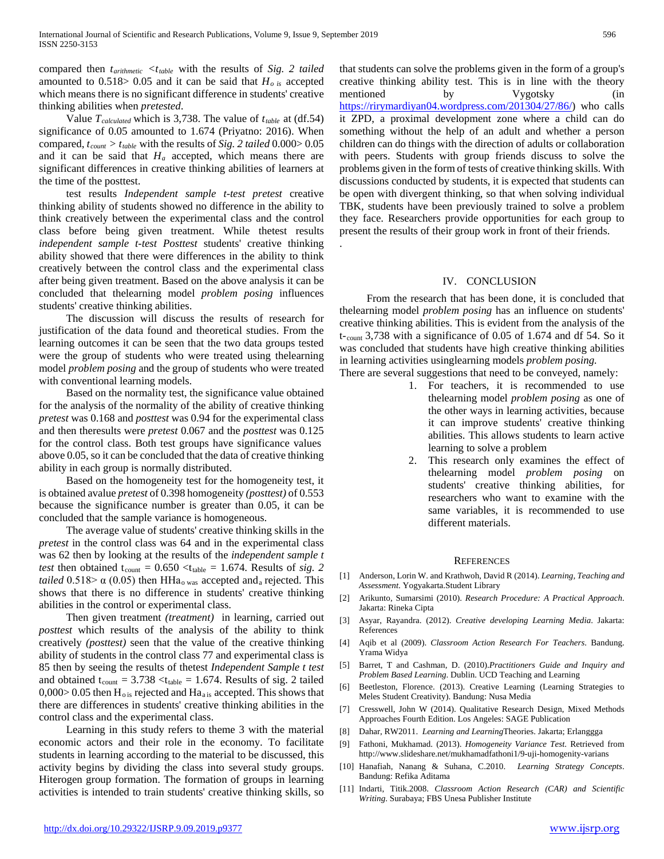compared then *tarithmetic <ttable* with the results of *Sig. 2 tailed* amounted to  $0.518 > 0.05$  and it can be said that  $H_{o}$ <sub>is</sub> accepted which means there is no significant difference in students' creative thinking abilities when *pretested*.

Value *T*<sub>calculated</sub> which is 3,738. The value of  $t_{table}$  at (df.54) significance of 0.05 amounted to 1.674 (Priyatno: 2016). When compared,  $t_{count} > t_{table}$  with the results of *Sig. 2 tailed* 0.000 > 0.05 and it can be said that  $H_a$  accepted, which means there are significant differences in creative thinking abilities of learners at the time of the posttest.

 test results *Independent sample t-test pretest* creative thinking ability of students showed no difference in the ability to think creatively between the experimental class and the control class before being given treatment. While thetest results *independent sample t-test Posttest* students' creative thinking ability showed that there were differences in the ability to think creatively between the control class and the experimental class after being given treatment. Based on the above analysis it can be concluded that thelearning model *problem posing* influences students' creative thinking abilities.

 The discussion will discuss the results of research for justification of the data found and theoretical studies. From the learning outcomes it can be seen that the two data groups tested were the group of students who were treated using thelearning model *problem posing* and the group of students who were treated with conventional learning models.

 Based on the normality test, the significance value obtained for the analysis of the normality of the ability of creative thinking *pretest* was 0.168 and *posttest* was 0.94 for the experimental class and then theresults were *pretest* 0.067 and the *posttest* was 0.125 for the control class. Both test groups have significance values above 0.05, so it can be concluded that the data of creative thinking ability in each group is normally distributed.

 Based on the homogeneity test for the homogeneity test, it is obtained avalue *pretest* of 0.398 homogeneity *(posttest)* of 0.553 because the significance number is greater than 0.05, it can be concluded that the sample variance is homogeneous.

 The average value of students' creative thinking skills in the *pretest* in the control class was 64 and in the experimental class was 62 then by looking at the results of the *independent sample t test* then obtained  $t_{\text{count}} = 0.650 \lt t_{\text{table}} = 1.674$ . Results of *sig.* 2 *tailed*  $0.518 > \alpha$  (0.05) then HHa<sub>o was</sub> accepted and<sub>a</sub> rejected. This shows that there is no difference in students' creative thinking abilities in the control or experimental class.

 Then given treatment *(treatment)* in learning, carried out *posttest* which results of the analysis of the ability to think creatively *(posttest)* seen that the value of the creative thinking ability of students in the control class 77 and experimental class is 85 then by seeing the results of thetest *Independent Sample t test* and obtained  $t_{count} = 3.738 < t_{table} = 1.674$ . Results of sig. 2 tailed  $0,000>0.05$  then  $H_{\text{o}}$  is rejected and  $Ha_{\text{ais}}$  accepted. This shows that there are differences in students' creative thinking abilities in the control class and the experimental class.

 Learning in this study refers to theme 3 with the material economic actors and their role in the economy. To facilitate students in learning according to the material to be discussed, this activity begins by dividing the class into several study groups. Hiterogen group formation. The formation of groups in learning activities is intended to train students' creative thinking skills, so

that students can solve the problems given in the form of a group's creative thinking ability test. This is in line with the theory mentioned by Vygotsky (in [https://rirymardiyan04.wordpress.com/201304/27/86/\)](https://rirymardiyan04.wordpress.com/201304/27/86/) who calls it ZPD, a proximal development zone where a child can do something without the help of an adult and whether a person children can do things with the direction of adults or collaboration with peers. Students with group friends discuss to solve the problems given in the form of tests of creative thinking skills. With discussions conducted by students, it is expected that students can be open with divergent thinking, so that when solving individual TBK, students have been previously trained to solve a problem they face. Researchers provide opportunities for each group to present the results of their group work in front of their friends.

#### IV. CONCLUSION

.

 From the research that has been done, it is concluded that thelearning model *problem posing* has an influence on students' creative thinking abilities. This is evident from the analysis of the t-count 3,738 with a significance of 0.05 of 1.674 and df 54. So it was concluded that students have high creative thinking abilities in learning activities usinglearning models *problem posing.*

- There are several suggestions that need to be conveyed, namely:
	- 1. For teachers, it is recommended to use thelearning model *problem posing* as one of the other ways in learning activities, because it can improve students' creative thinking abilities. This allows students to learn active learning to solve a problem
	- 2. This research only examines the effect of thelearning model *problem posing* on students' creative thinking abilities, for researchers who want to examine with the same variables, it is recommended to use different materials.

#### **REFERENCES**

- [1] Anderson, Lorin W. and Krathwoh, David R (2014). *Learning, Teaching and Assessment*. Yogyakarta.Student Library
- [2] Arikunto, Sumarsimi (2010). *Research Procedure: A Practical Approach*. Jakarta: Rineka Cipta
- [3] Asyar, Rayandra. (2012). *Creative developing Learning Media*. Jakarta: References
- [4] Aqib et al (2009). *Classroom Action Research For Teachers*. Bandung. Yrama Widya
- [5] Barret, T and Cashman, D. (2010).*Practitioners Guide and Inquiry and Problem Based Learning*. Dublin. UCD Teaching and Learning
- [6] Beetleston, Florence. (2013). Creative Learning (Learning Strategies to Meles Student Creativity). Bandung: Nusa Media
- [7] Cresswell, John W (2014). Qualitative Research Design, Mixed Methods Approaches Fourth Edition. Los Angeles: SAGE Publication
- [8] Dahar, RW2011. *Learning and Learning*Theories. Jakarta; Erlanggga
- [9] Fathoni, Mukhamad. (2013). *Homogeneity Variance Test*. Retrieved from http://www.slideshare.net/mukhamadfathoni1/9-uji-homogenity-varians
- [10] Hanafiah, Nanang & Suhana, C.2010. *Learning Strategy Concepts*. Bandung: Refika Aditama
- [11] Indarti, Titik.2008. *Classroom Action Research (CAR) and Scientific Writing*. Surabaya; FBS Unesa Publisher Institute